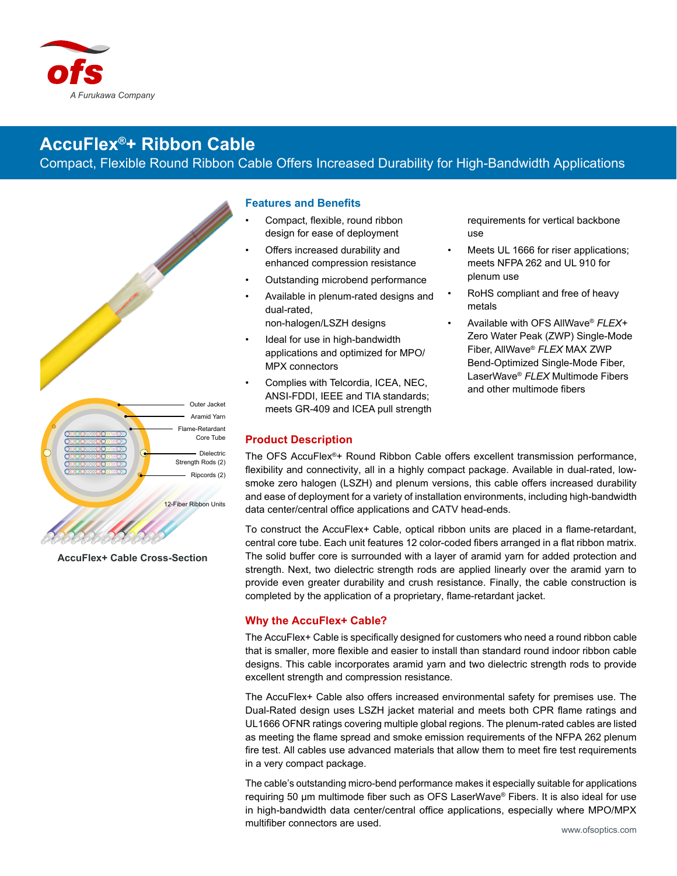

# **AccuFlex®+ Ribbon Cable**

Compact, Flexible Round Ribbon Cable Offers Increased Durability for High-Bandwidth Applications



**AccuFlex+ Cable Cross-Section**

#### **Features and Benefits**

- Compact, flexible, round ribbon design for ease of deployment
- Offers increased durability and enhanced compression resistance
- Outstanding microbend performance
- Available in plenum-rated designs and dual-rated, non-halogen/LSZH designs
- Ideal for use in high-bandwidth applications and optimized for MPO/ MPX connectors
- Complies with Telcordia, ICEA, NEC, ANSI-FDDI, IEEE and TIA standards; meets GR-409 and ICEA pull strength

### **Product Description**

requirements for vertical backbone use

- Meets UL 1666 for riser applications; meets NFPA 262 and UL 910 for plenum use
- RoHS compliant and free of heavy metals
- Available with OFS AllWave® *FLEX+* Zero Water Peak (ZWP) Single-Mode Fiber, AllWave® *FLEX* MAX ZWP Bend-Optimized Single-Mode Fiber, LaserWave® *FLEX* Multimode Fibers and other multimode fibers

The OFS AccuFlex®+ Round Ribbon Cable offers excellent transmission performance, flexibility and connectivity, all in a highly compact package. Available in dual-rated, lowsmoke zero halogen (LSZH) and plenum versions, this cable offers increased durability and ease of deployment for a variety of installation environments, including high-bandwidth data center/central office applications and CATV head-ends.

To construct the AccuFlex+ Cable, optical ribbon units are placed in a flame-retardant, central core tube. Each unit features 12 color-coded fibers arranged in a flat ribbon matrix. The solid buffer core is surrounded with a layer of aramid yarn for added protection and strength. Next, two dielectric strength rods are applied linearly over the aramid yarn to provide even greater durability and crush resistance. Finally, the cable construction is completed by the application of a proprietary, flame-retardant jacket.

## **Why the AccuFlex+ Cable?**

The AccuFlex+ Cable is specifically designed for customers who need a round ribbon cable that is smaller, more flexible and easier to install than standard round indoor ribbon cable designs. This cable incorporates aramid yarn and two dielectric strength rods to provide excellent strength and compression resistance.

The AccuFlex+ Cable also offers increased environmental safety for premises use. The Dual-Rated design uses LSZH jacket material and meets both CPR flame ratings and UL1666 OFNR ratings covering multiple global regions. The plenum-rated cables are listed as meeting the flame spread and smoke emission requirements of the NFPA 262 plenum fire test. All cables use advanced materials that allow them to meet fire test requirements in a very compact package.

The cable's outstanding micro-bend performance makes it especially suitable for applications requiring 50 µm multimode fiber such as OFS LaserWave® Fibers. It is also ideal for use in high-bandwidth data center/central office applications, especially where MPO/MPX multifiber connectors are used.